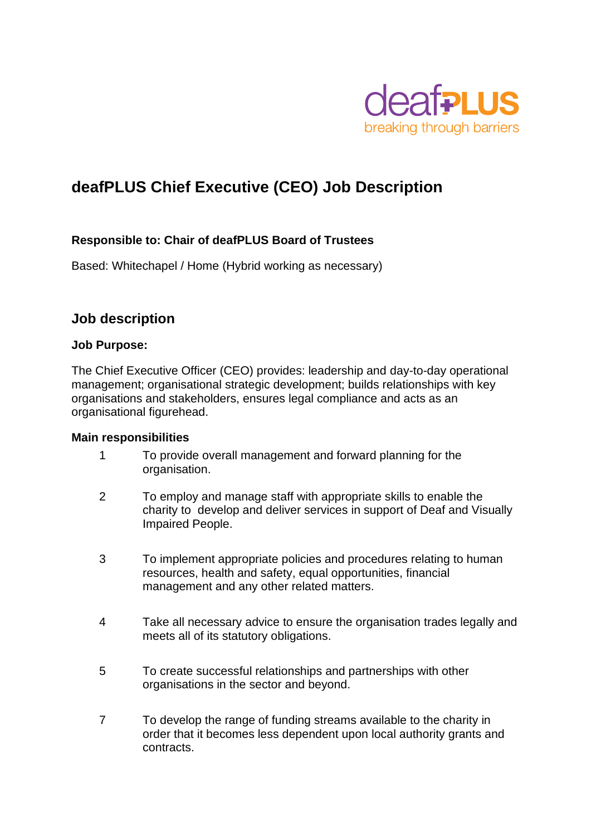

# **deafPLUS Chief Executive (CEO) Job Description**

#### **Responsible to: Chair of deafPLUS Board of Trustees**

Based: Whitechapel / Home (Hybrid working as necessary)

### **Job description**

#### **Job Purpose:**

The Chief Executive Officer (CEO) provides: leadership and day-to-day operational management; organisational strategic development; builds relationships with key organisations and stakeholders, ensures legal compliance and acts as an organisational figurehead.

#### **Main responsibilities**

- 1 To provide overall management and forward planning for the organisation.
- 2 To employ and manage staff with appropriate skills to enable the charity to develop and deliver services in support of Deaf and Visually Impaired People.
- 3 To implement appropriate policies and procedures relating to human resources, health and safety, equal opportunities, financial management and any other related matters.
- 4 Take all necessary advice to ensure the organisation trades legally and meets all of its statutory obligations.
- 5 To create successful relationships and partnerships with other organisations in the sector and beyond.
- 7 To develop the range of funding streams available to the charity in order that it becomes less dependent upon local authority grants and contracts.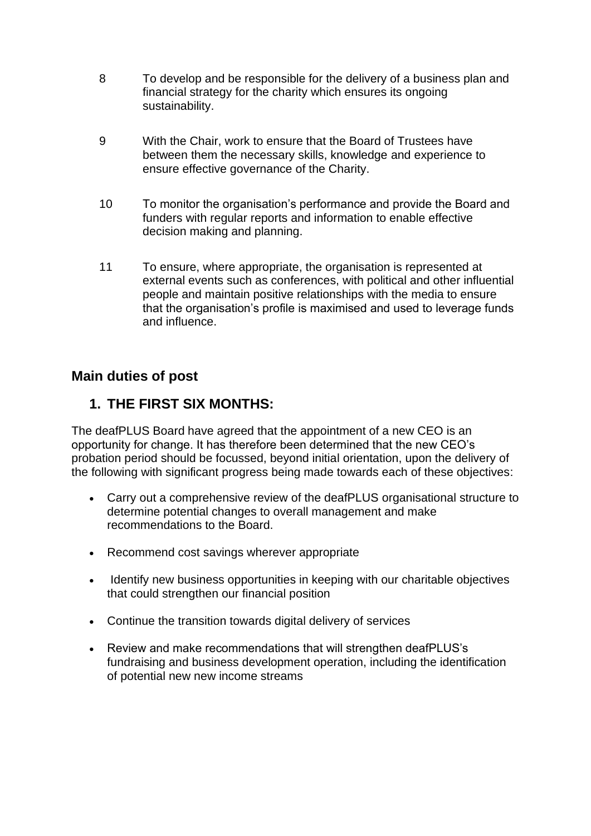- 8 To develop and be responsible for the delivery of a business plan and financial strategy for the charity which ensures its ongoing sustainability.
- 9 With the Chair, work to ensure that the Board of Trustees have between them the necessary skills, knowledge and experience to ensure effective governance of the Charity.
- 10 To monitor the organisation's performance and provide the Board and funders with regular reports and information to enable effective decision making and planning.
- 11 To ensure, where appropriate, the organisation is represented at external events such as conferences, with political and other influential people and maintain positive relationships with the media to ensure that the organisation's profile is maximised and used to leverage funds and influence.

## **Main duties of post**

## **1. THE FIRST SIX MONTHS:**

The deafPLUS Board have agreed that the appointment of a new CEO is an opportunity for change. It has therefore been determined that the new CEO's probation period should be focussed, beyond initial orientation, upon the delivery of the following with significant progress being made towards each of these objectives:

- Carry out a comprehensive review of the deafPLUS organisational structure to determine potential changes to overall management and make recommendations to the Board.
- Recommend cost savings wherever appropriate
- Identify new business opportunities in keeping with our charitable objectives that could strengthen our financial position
- Continue the transition towards digital delivery of services
- Review and make recommendations that will strengthen deafPLUS's fundraising and business development operation, including the identification of potential new new income streams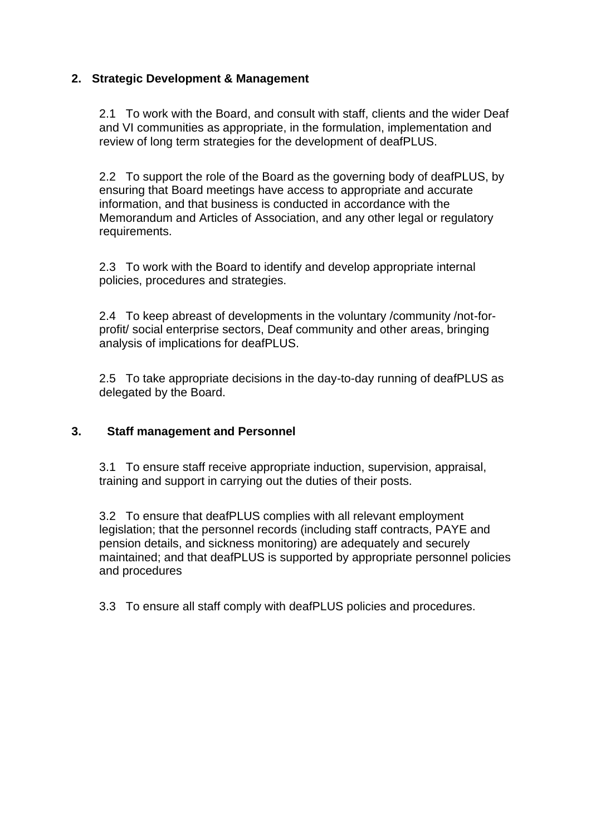#### **2. Strategic Development & Management**

2.1 To work with the Board, and consult with staff, clients and the wider Deaf and VI communities as appropriate, in the formulation, implementation and review of long term strategies for the development of deafPLUS.

2.2 To support the role of the Board as the governing body of deafPLUS, by ensuring that Board meetings have access to appropriate and accurate information, and that business is conducted in accordance with the Memorandum and Articles of Association, and any other legal or regulatory requirements.

2.3 To work with the Board to identify and develop appropriate internal policies, procedures and strategies.

2.4 To keep abreast of developments in the voluntary /community /not-forprofit/ social enterprise sectors, Deaf community and other areas, bringing analysis of implications for deafPLUS.

2.5 To take appropriate decisions in the day-to-day running of deafPLUS as delegated by the Board.

#### **3. Staff management and Personnel**

3.1 To ensure staff receive appropriate induction, supervision, appraisal, training and support in carrying out the duties of their posts.

3.2 To ensure that deafPLUS complies with all relevant employment legislation; that the personnel records (including staff contracts, PAYE and pension details, and sickness monitoring) are adequately and securely maintained; and that deafPLUS is supported by appropriate personnel policies and procedures

3.3 To ensure all staff comply with deafPLUS policies and procedures.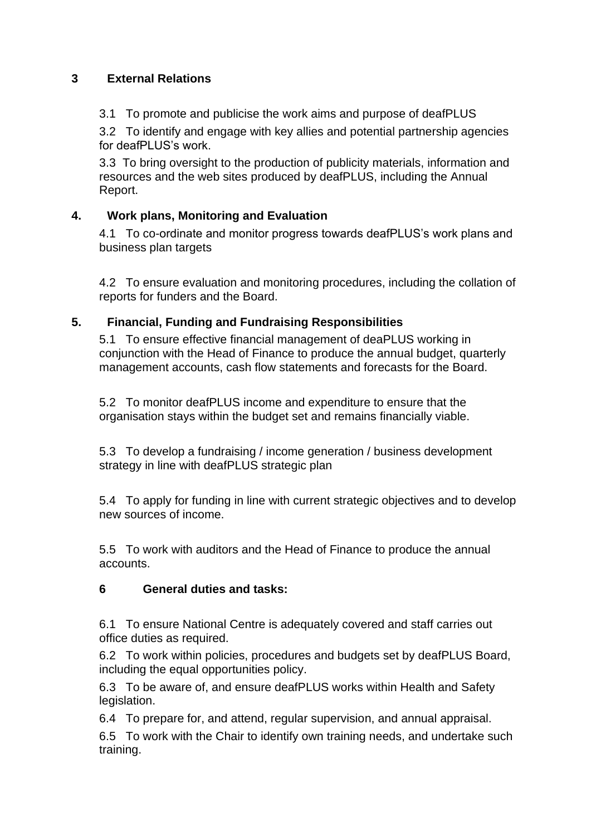#### **3 External Relations**

3.1 To promote and publicise the work aims and purpose of deafPLUS

3.2 To identify and engage with key allies and potential partnership agencies for deafPLUS's work.

3.3 To bring oversight to the production of publicity materials, information and resources and the web sites produced by deafPLUS, including the Annual Report.

### **4. Work plans, Monitoring and Evaluation**

4.1 To co-ordinate and monitor progress towards deafPLUS's work plans and business plan targets

4.2 To ensure evaluation and monitoring procedures, including the collation of reports for funders and the Board.

### **5. Financial, Funding and Fundraising Responsibilities**

5.1 To ensure effective financial management of deaPLUS working in conjunction with the Head of Finance to produce the annual budget, quarterly management accounts, cash flow statements and forecasts for the Board.

5.2 To monitor deafPLUS income and expenditure to ensure that the organisation stays within the budget set and remains financially viable.

5.3 To develop a fundraising / income generation / business development strategy in line with deafPLUS strategic plan

5.4 To apply for funding in line with current strategic objectives and to develop new sources of income.

5.5 To work with auditors and the Head of Finance to produce the annual accounts.

#### **6 General duties and tasks:**

6.1 To ensure National Centre is adequately covered and staff carries out office duties as required.

6.2 To work within policies, procedures and budgets set by deafPLUS Board, including the equal opportunities policy.

6.3 To be aware of, and ensure deafPLUS works within Health and Safety legislation.

6.4 To prepare for, and attend, regular supervision, and annual appraisal.

6.5 To work with the Chair to identify own training needs, and undertake such training.